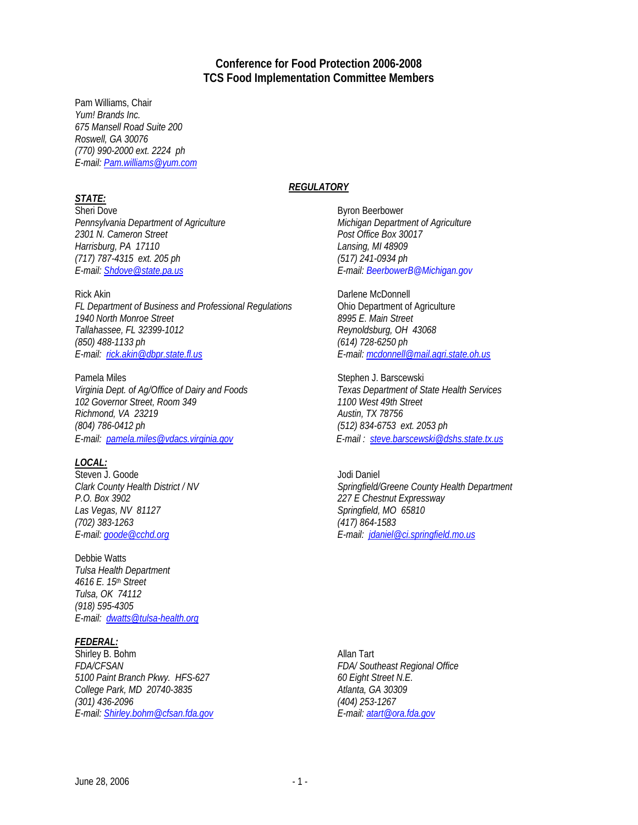# **Conference for Food Protection 2006-2008 TCS Food Implementation Committee Members**

Pam Williams, Chair *Yum! Brands Inc. 675 Mansell Road Suite 200 Roswell, GA 30076 (770) 990-2000 ext. 2224 ph E-mail: Pam.williams@yum.com* 

## *STATE:*

Sheri Dove Byron Beerbower *Pennsylvania Department of Agriculture Michigan Department of Agriculture*  2301 N. Cameron Street **Post Office Box 30017** *Harrisburg, PA 17110 Lansing, MI 48909 (717) 787-4315 ext. 205 ph (517) 241-0934 ph E-mail: Shdove@state.pa.us E-mail: BeerbowerB@Michigan.gov* 

*FL Department of Business and Professional Regulations* **Chio Department of Agriculture**<br>1940 North Monroe Street **and Professional Regulations** 8995 *E. Main Street* 1940 North Monroe Street *Tallahassee, FL 32399-1012 Reynoldsburg, OH 43068 (850) 488-1133 ph (614) 728-6250 ph E-mail: rick.akin@dbpr.state.fl.us E-mail: mcdonnell@mail.agri.state.oh.us*

Pamela Miles **Stephen J. Barscewski** *Virginia Dept. of Ag/Office of Dairy and Foods Texas Department of State Health Services 102 Governor Street, Room 349 1100 West 49th Street Richmond, VA 23219 Austin, TX 78756 (804) 786-0412 ph (512) 834-6753 ext. 2053 ph E-mail: pamela.miles@vdacs.virginia.gov E-mail : steve.barscewski@dshs.state.tx.us*

### *LOCAL:*

Steven J. Goode Jodi Daniel *P.O. Box 3902 227 E Chestnut Expressway*  Las Vegas, NV 81127<br>
(702) 383-1263<br>
(702) 383-1263

Debbie Watts *Tulsa Health Department 4616 E. 15th Street Tulsa, OK 74112 (918) 595-4305 E-mail: dwatts@tulsa-health.org*

## *FEDERAL:*

Shirley B. Bohm Allan Tart *FDA/CFSAN FDA/ Southeast Regional Office 5100 Paint Branch Pkwy. HFS-627 60 Eight Street N.E. College Park, MD 20740-3835 Atlanta, GA 30309 (301) 436-2096 (404) 253-1267 E-mail: Shirley.bohm@cfsan.fda.gov E-mail: atart@ora.fda.gov*

### *REGULATORY*

Rick Akin **Darlene McDonnell** 

*Clark County Health District / NV Springfield/Greene County Health Department (702) 383-1263 (417) 864-1583 E-mail: goode@cchd.org E-mail: jdaniel@ci.springfield.mo.us*